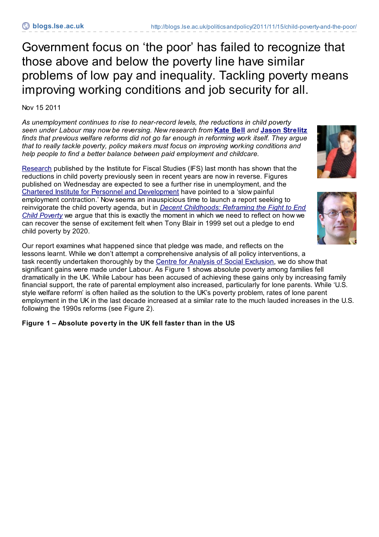Government focus on 'the poor' has failed to recognize that those above and below the poverty line have similar problems of low pay and inequality. Tackling poverty means improving working conditions and job security for all.

Nov 15 2011

*As unemployment continues to rise to near-record levels, the reductions in child poverty seen under Labour may now be reversing. New research from* **[Kate](http://blogs.lse.ac.uk/politicsandpolicy/contributors/#Kate_Bell) Bell** *and* **Jason [Strelitz](http://blogs.lse.ac.uk/politicsandpolicy/contributors/#Jason_Strelitz)** *finds that previous welfare reforms did not go far enough in reforming work itself. They argue that to really tackle poverty, policy makers must focus on improving working conditions and help people to find a better balance between paid employment and childcare.*

[Research](http://www.ifs.org.uk/publications/5710) published by the Institute for Fiscal Studies (IFS) last month has shown that the reductions in child poverty previously seen in recent years are now in reverse. Figures published on Wednesday are expected to see a further rise in unemployment, and the Chartered Institute for Personnel and [Development](http://www.cipd.co.uk/pressoffice/_articles/LabourMarketOutlook.htm) have pointed to a 'slow painful employment contraction.' Now seems an inauspicious time to launch a report seeking to reinvigorate the child poverty agenda, but in *Decent [Childhoods:](http://www.decentchildhoods.org.uk/) Reframing the Fight to End Child Poverty* we argue that this is exactly the moment in which we need to reflect on how we can recover the sense of excitement felt when Tony Blair in 1999 set out a pledge to end child poverty by 2020.

Our report examines what happened since that pledge was made, and reflects on the lessons learnt. While we don't attempt a comprehensive analysis of all policy interventions, a task recently undertaken thoroughly by the Centre for Analysis of Social [Exclusion](http://www.policypress.co.uk/display.asp?K=9781847422019), we do show that significant gains were made under Labour. As Figure 1 shows absolute poverty among families fell dramatically in the UK. While Labour has been accused of achieving these gains only by increasing family financial support, the rate of parental employment also increased, particularly for lone parents. While 'U.S. style welfare reform' is often hailed as the solution to the UK's poverty problem, rates of lone parent employment in the UK in the last decade increased at a similar rate to the much lauded increases in the U.S. following the 1990s reforms (see Figure 2).

## **Figure 1 – Absolute poverty in the UK fell faster than in the US**



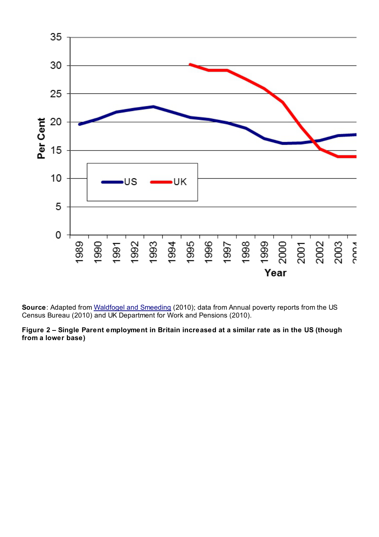

**Source**: Adapted from [Waldfogel](http://www.irp.wisc.edu/publications/fastfocus/pdfs/FF8-2010.pdf) and Smeeding (2010); data from Annual poverty reports from the US Census Bureau (2010) and UK Department for Work and Pensions (2010).

**Figure 2 – Single Parent employment in Britain increased at a similar rate as in the US (though from a lower base)**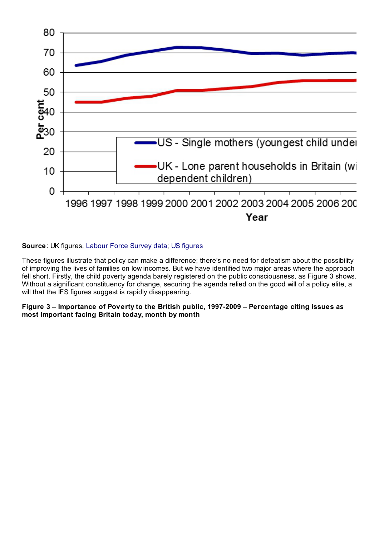

## **Source**: UK figures, [Labour](http://www.poverty.org.uk/) Force Survey data; US [figures](http://digitalcommons.ilr.cornell.edu/cgi/viewcontent.cgi?article=1852&context=key_workplace)

These figures illustrate that policy can make a difference; there's no need for defeatism about the possibility of improving the lives of families on low incomes. But we have identified two major areas where the approach fell short. Firstly, the child poverty agenda barely registered on the public consciousness, as Figure 3 shows. Without a significant constituency for change, securing the agenda relied on the good will of a policy elite, a will that the IFS figures suggest is rapidly disappearing.

## **Figure 3 – Importance of Poverty to the British public, 1997-2009 – Percentage citing issues as most important facing Britain today, month by month**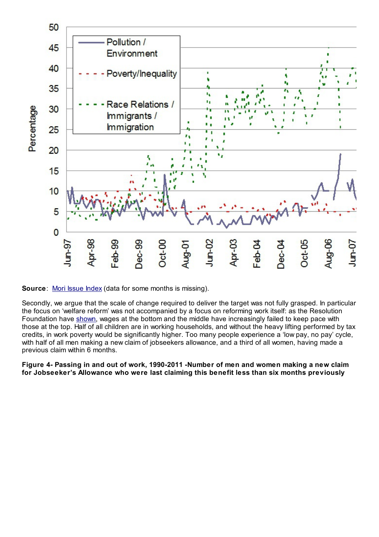

**Source:** Mori [Issue](http://www.ipsos-mori.com/researchpublications/researcharchive/poll.aspx?oItemID=56&view=wide) Index (data for some months is missing).

Secondly, we argue that the scale of change required to deliver the target was not fully grasped. In particular the focus on 'welfare reform' was not accompanied by a focus on reforming work itself: as the Resolution Foundation have [shown](http://www.resolutionfoundation.org/publications/missing-out/), wages at the bottom and the middle have increasingly failed to keep pace with those at the top. Half of all children are in working households, and without the heavy lifting performed by tax credits, in work poverty would be significantly higher. Too many people experience a 'low pay, no pay' cycle, with half of all men making a new claim of jobseekers allowance, and a third of all women, having made a previous claim within 6 months.

**Figure 4- Passing in and out of work, 1990-2011 -Number of men and women making a new claim for Jobseeker's Allowance who were last claiming this benefit less than six months previously**